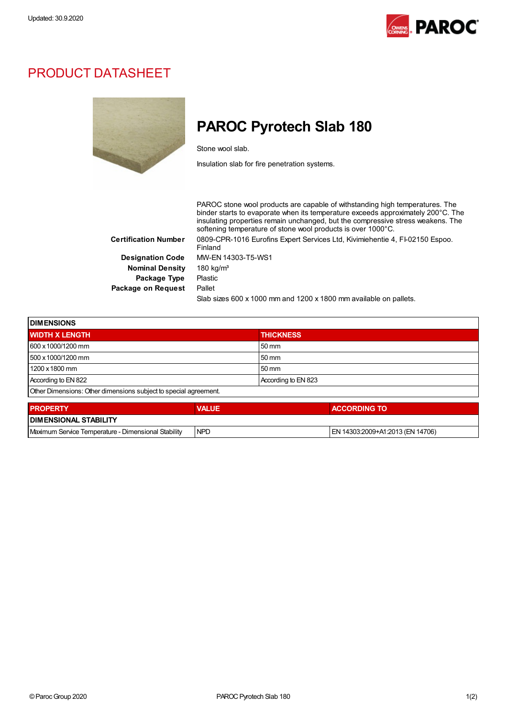

## PRODUCT DATASHEET



## PAROC Pyrotech Slab 180

Stone wool slab.

Insulation slab for fire penetration systems.

PAROC stone wool products are capable of withstanding high temperatures. The binder starts to evaporate when its temperature exceeds approximately 200°C. The insulating properties remain unchanged, but the compressive stress weakens. The softening temperature of stone wool products is over 1000°C. Certification Number 0809-CPR-1016 Eurofins Expert Services Ltd, Kivimiehentie 4, FI-02150 Espoo. Finland Designation Code MW-EN 14303-T5-WS1 Nominal Density 180 kg/m<sup>3</sup> Package Type Plastic Package on Request Pallet Slab sizes 600 x 1000 mm and 1200 x 1800 mm available on pallets.

| <b>IDIMENSIONS</b>                                               |                     |  |
|------------------------------------------------------------------|---------------------|--|
| <b>WIDTH X LENGTH</b>                                            | <b>THICKNESS</b>    |  |
| 600 x 1000/1200 mm                                               | 50 mm               |  |
| 500 x 1000/1200 mm                                               | 50 mm               |  |
| 1200 x 1800 mm                                                   | $50 \text{ mm}$     |  |
| According to EN 822                                              | According to EN 823 |  |
| Other Dimensions: Other dimensions subject to special agreement. |                     |  |

| <b>I PROPERTY</b>                                   | <b>VALUE</b> | <b>ACCORDING TO</b>              |  |  |
|-----------------------------------------------------|--------------|----------------------------------|--|--|
| <b>I DIMENSIONAL STABILITY</b>                      |              |                                  |  |  |
| Maximum Service Temperature - Dimensional Stability | <b>INPD</b>  | EN 14303:2009+A1:2013 (EN 14706) |  |  |